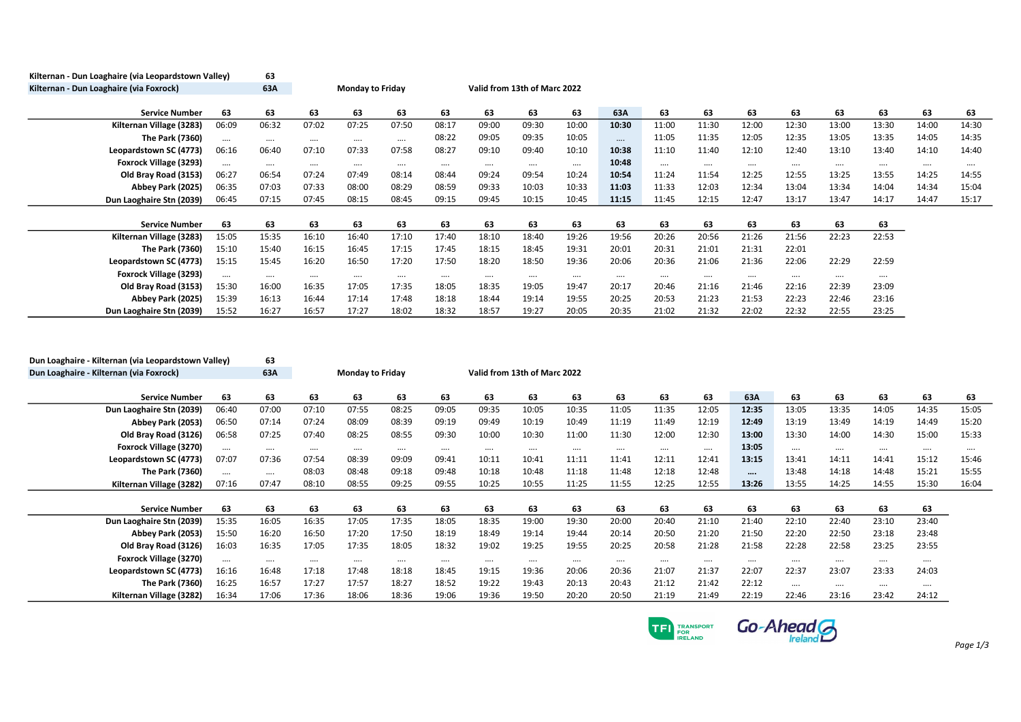| Kilternan - Dun Loaghaire (via Leopardstown Valley) |          | 63       |          |                         |          |          |          |                              |          |          |          |          |          |          |          |          |          |          |
|-----------------------------------------------------|----------|----------|----------|-------------------------|----------|----------|----------|------------------------------|----------|----------|----------|----------|----------|----------|----------|----------|----------|----------|
| Kilternan - Dun Loaghaire (via Foxrock)             |          | 63A      |          | <b>Monday to Friday</b> |          |          |          | Valid from 13th of Marc 2022 |          |          |          |          |          |          |          |          |          |          |
| <b>Service Number</b>                               | 63       | 63       | 63       | 63                      | 63       | 63       | 63       | 63                           | 63       | 63A      | 63       | 63       | 63       | 63       | 63       | 63       | 63       | 63       |
| Kilternan Village (3283)                            | 06:09    | 06:32    | 07:02    | 07:25                   | 07:50    | 08:17    | 09:00    | 09:30                        | 10:00    | 10:30    | 11:00    | 11:30    | 12:00    | 12:30    | 13:00    | 13:30    | 14:00    | 14:30    |
| The Park (7360)                                     | $\cdots$ | $\cdots$ | $\cdots$ | $\cdots$                | $\cdots$ | 08:22    | 09:05    | 09:35                        | 10:05    | $\cdots$ | 11:05    | 11:35    | 12:05    | 12:35    | 13:05    | 13:35    | 14:05    | 14:35    |
| Leopardstown SC (4773)                              | 06:16    | 06:40    | 07:10    | 07:33                   | 07:58    | 08:27    | 09:10    | 09:40                        | 10:10    | 10:38    | 11:10    | 11:40    | 12:10    | 12:40    | 13:10    | 13:40    | 14:10    | 14:40    |
| Foxrock Village (3293)                              | $\cdots$ | $\cdots$ | $\cdots$ | $\cdots$                | $\cdots$ | $\cdots$ | $\cdots$ | $\cdots$                     | $\cdots$ | 10:48    |          | $\cdots$ | $\cdots$ |          | $\cdots$ | $\cdots$ | $\cdots$ | $\cdots$ |
| Old Bray Road (3153)                                | 06:27    | 06:54    | 07:24    | 07:49                   | 08:14    | 08:44    | 09:24    | 09:54                        | 10:24    | 10:54    | 11:24    | 11:54    | 12:25    | 12:55    | 13:25    | 13:55    | 14:25    | 14:55    |
| Abbey Park (2025)                                   | 06:35    | 07:03    | 07:33    | 08:00                   | 08:29    | 08:59    | 09:33    | 10:03                        | 10:33    | 11:03    | 11:33    | 12:03    | 12:34    | 13:04    | 13:34    | 14:04    | 14:34    | 15:04    |
| Dun Laoghaire Stn (2039)                            | 06:45    | 07:15    | 07:45    | 08:15                   | 08:45    | 09:15    | 09:45    | 10:15                        | 10:45    | 11:15    | 11:45    | 12:15    | 12:47    | 13:17    | 13:47    | 14:17    | 14:47    | 15:17    |
|                                                     |          |          |          |                         |          |          |          |                              |          |          |          |          |          |          |          |          |          |          |
| <b>Service Number</b>                               | 63       | 63       | 63       | 63                      | 63       | 63       | 63       | 63                           | 63       | 63       | 63       | 63       | 63       | 63       | 63       | 63       |          |          |
| Kilternan Village (3283)                            | 15:05    | 15:35    | 16:10    | 16:40                   | 17:10    | 17:40    | 18:10    | 18:40                        | 19:26    | 19:56    | 20:26    | 20:56    | 21:26    | 21:56    | 22:23    | 22:53    |          |          |
| The Park (7360)                                     | 15:10    | 15:40    | 16:15    | 16:45                   | 17:15    | 17:45    | 18:15    | 18:45                        | 19:31    | 20:01    | 20:31    | 21:01    | 21:31    | 22:01    |          |          |          |          |
| Leopardstown SC (4773)                              | 15:15    | 15:45    | 16:20    | 16:50                   | 17:20    | 17:50    | 18:20    | 18:50                        | 19:36    | 20:06    | 20:36    | 21:06    | 21:36    | 22:06    | 22:29    | 22:59    |          |          |
| Foxrock Village (3293)                              | $\cdots$ | $\cdots$ | $\cdots$ | $\cdots$                | $\cdots$ | $\cdots$ | $\cdots$ | $\cdots$                     | $\cdots$ | $\cdots$ | $\cdots$ |          | $\cdots$ | $\cdots$ | $\cdots$ | $\cdots$ |          |          |
| Old Bray Road (3153)                                | 15:30    | 16:00    | 16:35    | 17:05                   | 17:35    | 18:05    | 18:35    | 19:05                        | 19:47    | 20:17    | 20:46    | 21:16    | 21:46    | 22:16    | 22:39    | 23:09    |          |          |
| Abbey Park (2025)                                   | 15:39    | 16:13    | 16:44    | 17:14                   | 17:48    | 18:18    | 18:44    | 19:14                        | 19:55    | 20:25    | 20:53    | 21:23    | 21:53    | 22:23    | 22:46    | 23:16    |          |          |
| Dun Laoghaire Stn (2039)                            | 15:52    | 16:27    | 16:57    | 17:27                   | 18:02    | 18:32    | 18:57    | 19:27                        | 20:05    | 20:35    | 21:02    | 21:32    | 22:02    | 22:32    | 22:55    | 23:25    |          |          |

| Dun Loaghaire - Kilternan (via Leopardstown Valley) |          | 63       |          |                         |          |          |          |                              |          |       |          |          |          |          |          |          |          |          |
|-----------------------------------------------------|----------|----------|----------|-------------------------|----------|----------|----------|------------------------------|----------|-------|----------|----------|----------|----------|----------|----------|----------|----------|
| Dun Loaghaire - Kilternan (via Foxrock)             |          | 63A      |          | <b>Monday to Friday</b> |          |          |          | Valid from 13th of Marc 2022 |          |       |          |          |          |          |          |          |          |          |
|                                                     |          |          |          |                         |          |          |          |                              |          |       |          |          |          |          |          |          |          |          |
| <b>Service Number</b>                               | 63       | 63       | 63       | 63                      | 63       | 63       | 63       | 63                           | 63       | 63    | 63       | 63       | 63A      | 63       | 63       | 63       | 63       | 63       |
| Dun Laoghaire Stn (2039)                            | 06:40    | 07:00    | 07:10    | 07:55                   | 08:25    | 09:05    | 09:35    | 10:05                        | 10:35    | 11:05 | 11:35    | 12:05    | 12:35    | 13:05    | 13:35    | 14:05    | 14:35    | 15:05    |
| Abbey Park (2053)                                   | 06:50    | 07:14    | 07:24    | 08:09                   | 08:39    | 09:19    | 09:49    | 10:19                        | 10:49    | 11:19 | 11:49    | 12:19    | 12:49    | 13:19    | 13:49    | 14:19    | 14:49    | 15:20    |
| Old Bray Road (3126)                                | 06:58    | 07:25    | 07:40    | 08:25                   | 08:55    | 09:30    | 10:00    | 10:30                        | 11:00    | 11:30 | 12:00    | 12:30    | 13:00    | 13:30    | 14:00    | 14:30    | 15:00    | 15:33    |
| Foxrock Village (3270)                              | $\cdots$ | $\cdots$ | $\cdots$ | $\cdots$                | $\cdots$ | $\cdots$ | $\cdots$ |                              | $\cdots$ |       | $\cdots$ | $\cdots$ | 13:05    | $\cdots$ | $\cdots$ | $\cdots$ | $\cdots$ | $\cdots$ |
| Leopardstown SC (4773)                              | 07:07    | 07:36    | 07:54    | 08:39                   | 09:09    | 09:41    | 10:11    | 10:41                        | 11:11    | 11:41 | 12:11    | 12:41    | 13:15    | 13:41    | 14:11    | 14:41    | 15:12    | 15:46    |
| The Park (7360)                                     | $\cdots$ | $\cdots$ | 08:03    | 08:48                   | 09:18    | 09:48    | 10:18    | 10:48                        | 11:18    | 11:48 | 12:18    | 12:48    | $\cdots$ | 13:48    | 14:18    | 14:48    | 15:21    | 15:55    |
| Kilternan Village (3282)                            | 07:16    | 07:47    | 08:10    | 08:55                   | 09:25    | 09:55    | 10:25    | 10:55                        | 11:25    | 11:55 | 12:25    | 12:55    | 13:26    | 13:55    | 14:25    | 14:55    | 15:30    | 16:04    |
|                                                     |          |          |          |                         |          |          |          |                              |          |       |          |          |          |          |          |          |          |          |
| <b>Service Number</b>                               | 63       | 63       | 63       | 63                      | 63       | 63       | 63       | 63                           | 63       | 63    | 63       | 63       | 63       | 63       | 63       | 63       | 63       |          |
| Dun Laoghaire Stn (2039)                            | 15:35    | 16:05    | 16:35    | 17:05                   | 17:35    | 18:05    | 18:35    | 19:00                        | 19:30    | 20:00 | 20:40    | 21:10    | 21:40    | 22:10    | 22:40    | 23:10    | 23:40    |          |
| Abbey Park (2053)                                   | 15:50    | 16:20    | 16:50    | 17:20                   | 17:50    | 18:19    | 18:49    | 19:14                        | 19:44    | 20:14 | 20:50    | 21:20    | 21:50    | 22:20    | 22:50    | 23:18    | 23:48    |          |
| Old Bray Road (3126)                                | 16:03    | 16:35    | 17:05    | 17:35                   | 18:05    | 18:32    | 19:02    | 19:25                        | 19:55    | 20:25 | 20:58    | 21:28    | 21:58    | 22:28    | 22:58    | 23:25    | 23:55    |          |
| Foxrock Village (3270)                              | $\cdots$ | $\cdots$ |          | $\cdots$                | $\cdots$ | $\cdots$ | $\cdots$ |                              | $\cdots$ |       | $\cdots$ | $$       | $\cdots$ | $\cdots$ | $\cdots$ |          |          |          |
| Leopardstown SC (4773)                              | 16:16    | 16:48    | 17:18    | 17:48                   | 18:18    | 18:45    | 19:15    | 19:36                        | 20:06    | 20:36 | 21:07    | 21:37    | 22:07    | 22:37    | 23:07    | 23:33    | 24:03    |          |
| The Park (7360)                                     | 16:25    | 16:57    | 17:27    | 17:57                   | 18:27    | 18:52    | 19:22    | 19:43                        | 20:13    | 20:43 | 21:12    | 21:42    | 22:12    | $\cdots$ | $\cdots$ |          | $\cdots$ |          |
| Kilternan Village (3282)                            | 16:34    | 17:06    | 17:36    | 18:06                   | 18:36    | 19:06    | 19:36    | 19:50                        | 20:20    | 20:50 | 21:19    | 21:49    | 22:19    | 22:46    | 23:16    | 23:42    | 24:12    |          |

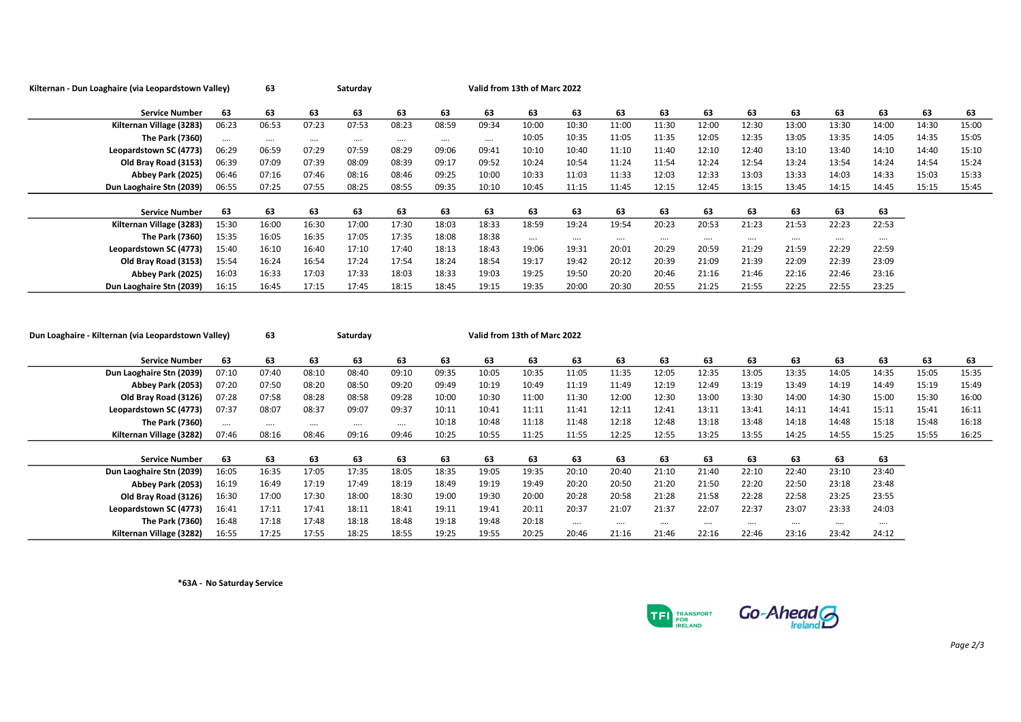| Kilternan - Dun Loaghaire (via Leopardstown Valley) |          | 63       | Saturday |          |          |       |          | Valid from 13th of Marc 2022 |          |          |          |       |          |          |          |          |       |       |
|-----------------------------------------------------|----------|----------|----------|----------|----------|-------|----------|------------------------------|----------|----------|----------|-------|----------|----------|----------|----------|-------|-------|
| <b>Service Number</b>                               | 63       | 63       | 63       | 63       | 63       | 63    | 63       | 63                           | 63       | 63       | 63       | 63    | 63       | 63       | 63       | 63       | 63    | 63    |
| Kilternan Village (3283)                            | 06:23    | 06:53    | 07:23    | 07:53    | 08:23    | 08:59 | 09:34    | 10:00                        | 10:30    | 11:00    | 11:30    | 12:00 | 12:30    | 13:00    | 13:30    | 14:00    | 14:30 | 15:00 |
| <b>The Park (7360)</b>                              | $\cdots$ | $\cdots$ | $\cdots$ | $\cdots$ | $\cdots$ |       | $\cdots$ | 10:05                        | 10:35    | 11:05    | 11:35    | 12:05 | 12:35    | 13:05    | 13:35    | 14:05    | 14:35 | 15:05 |
| Leopardstown SC (4773)                              | 06:29    | 06:59    | 07:29    | 07:59    | 08:29    | 09:06 | 09:41    | 10:10                        | 10:40    | 11:10    | 11:40    | 12:10 | 12:40    | 13:10    | 13:40    | 14:10    | 14:40 | 15:10 |
| Old Bray Road (3153)                                | 06:39    | 07:09    | 07:39    | 08:09    | 08:39    | 09:17 | 09:52    | 10:24                        | 10:54    | 11:24    | 11:54    | 12:24 | 12:54    | 13:24    | 13:54    | 14:24    | 14:54 | 15:24 |
| Abbey Park (2025)                                   | 06:46    | 07:16    | 07:46    | 08:16    | 08:46    | 09:25 | 10:00    | 10:33                        | 11:03    | 11:33    | 12:03    | 12:33 | 13:03    | 13:33    | 14:03    | 14:33    | 15:03 | 15:33 |
| Dun Laoghaire Stn (2039)                            | 06:55    | 07:25    | 07:55    | 08:25    | 08:55    | 09:35 | 10:10    | 10:45                        | 11:15    | 11:45    | 12:15    | 12:45 | 13:15    | 13:45    | 14:15    | 14:45    | 15:15 | 15:45 |
|                                                     |          |          |          |          |          |       |          |                              |          |          |          |       |          |          |          |          |       |       |
| <b>Service Number</b>                               | 63       | 63       | 63       | 63       | 63       | 63    | 63       | 63                           | 63       | 63       | 63       | 63    | 63       | 63       | 63       | 63       |       |       |
| Kilternan Village (3283)                            | 15:30    | 16:00    | 16:30    | 17:00    | 17:30    | 18:03 | 18:33    | 18:59                        | 19:24    | 19:54    | 20:23    | 20:53 | 21:23    | 21:53    | 22:23    | 22:53    |       |       |
| <b>The Park (7360)</b>                              | 15:35    | 16:05    | 16:35    | 17:05    | 17:35    | 18:08 | 18:38    |                              | $\cdots$ | $\cdots$ | $\cdots$ |       | $\cdots$ | $\cdots$ | $\cdots$ | $\cdots$ |       |       |
| Leopardstown SC (4773)                              | 15:40    | 16:10    | 16:40    | 17:10    | 17:40    | 18:13 | 18:43    | 19:06                        | 19:31    | 20:01    | 20:29    | 20:59 | 21:29    | 21:59    | 22:29    | 22:59    |       |       |
| Old Bray Road (3153)                                | 15:54    | 16:24    | 16:54    | 17:24    | 17:54    | 18:24 | 18:54    | 19:17                        | 19:42    | 20:12    | 20:39    | 21:09 | 21:39    | 22:09    | 22:39    | 23:09    |       |       |
| Abbey Park (2025)                                   | 16:03    | 16:33    | 17:03    | 17:33    | 18:03    | 18:33 | 19:03    | 19:25                        | 19:50    | 20:20    | 20:46    | 21:16 | 21:46    | 22:16    | 22:46    | 23:16    |       |       |
| Dun Laoghaire Stn (2039)                            | 16:15    | 16:45    | 17:15    | 17:45    | 18:15    | 18:45 | 19:15    | 19:35                        | 20:00    | 20:30    | 20:55    | 21:25 | 21:55    | 22:25    | 22:55    | 23:25    |       |       |

| Dun Loaghaire - Kilternan (via Leopardstown Valley) |          | 63       |       | Saturday |          |       |       | Valid from 13th of Marc 2022 |          |          |          |       |          |          |          |       |       |       |
|-----------------------------------------------------|----------|----------|-------|----------|----------|-------|-------|------------------------------|----------|----------|----------|-------|----------|----------|----------|-------|-------|-------|
| <b>Service Number</b>                               | 63       | 63       | 63    | 63       | 63       | 63    | 63    | 63                           | 63       | 63       | 63       | 63    | 63       | 63       | 63       | 63    | 63    | 63    |
| Dun Laoghaire Stn (2039)                            | 07:10    | 07:40    | 08:10 | 08:40    | 09:10    | 09:35 | 10:05 | 10:35                        | 11:05    | 11:35    | 12:05    | 12:35 | 13:05    | 13:35    | 14:05    | 14:35 | 15:05 | 15:35 |
| Abbey Park (2053)                                   | 07:20    | 07:50    | 08:20 | 08:50    | 09:20    | 09:49 | 10:19 | 10:49                        | 11:19    | 11:49    | 12:19    | 12:49 | 13:19    | 13:49    | 14:19    | 14:49 | 15:19 | 15:49 |
| Old Brav Road (3126)                                | 07:28    | 07:58    | 08:28 | 08:58    | 09:28    | 10:00 | 10:30 | 11:00                        | 11:30    | 12:00    | 12:30    | 13:00 | 13:30    | 14:00    | 14:30    | 15:00 | 15:30 | 16:00 |
| Leopardstown SC (4773)                              | 07:37    | 08:07    | 08:37 | 09:07    | 09:37    | 10:11 | 10:41 | 11:11                        | 11:41    | 12:11    | 12:41    | 13:11 | 13:41    | 14:11    | 14:41    | 15:11 | 15:41 | 16:11 |
| The Park (7360)                                     | $\cdots$ | $\cdots$ |       | $\cdots$ | $\cdots$ | 10:18 | 10:48 | 11:18                        | 11:48    | 12:18    | 12:48    | 13:18 | 13:48    | 14:18    | 14:48    | 15:18 | 15:48 | 16:18 |
| Kilternan Village (3282)                            | 07:46    | 08:16    | 08:46 | 09:16    | 09:46    | 10:25 | 10:55 | 11:25                        | 11:55    | 12:25    | 12:55    | 13:25 | 13:55    | 14:25    | 14:55    | 15:25 | 15:55 | 16:25 |
|                                                     |          |          |       |          |          |       |       |                              |          |          |          |       |          |          |          |       |       |       |
| <b>Service Number</b>                               | 63       | 63       | 63    | 63       | 63       | 63    | 63    | 63                           | 63       | 63       | 63       | 63    | 63       | 63       | 63       | 63    |       |       |
| Dun Laoghaire Stn (2039)                            | 16:05    | 16:35    | 17:05 | 17:35    | 18:05    | 18:35 | 19:05 | 19:35                        | 20:10    | 20:40    | 21:10    | 21:40 | 22:10    | 22:40    | 23:10    | 23:40 |       |       |
| Abbey Park (2053)                                   | 16:19    | 16:49    | 17:19 | 17:49    | 18:19    | 18:49 | 19:19 | 19:49                        | 20:20    | 20:50    | 21:20    | 21:50 | 22:20    | 22:50    | 23:18    | 23:48 |       |       |
| Old Bray Road (3126)                                | 16:30    | 17:00    | 17:30 | 18:00    | 18:30    | 19:00 | 19:30 | 20:00                        | 20:28    | 20:58    | 21:28    | 21:58 | 22:28    | 22:58    | 23:25    | 23:55 |       |       |
| Leopardstown SC (4773)                              | 16:41    | 17:11    | 17:41 | 18:11    | 18:41    | 19:11 | 19:41 | 20:11                        | 20:37    | 21:07    | 21:37    | 22:07 | 22:37    | 23:07    | 23:33    | 24:03 |       |       |
| The Park (7360)                                     | 16:48    | 17:18    | 17:48 | 18:18    | 18:48    | 19:18 | 19:48 | 20:18                        | $\cdots$ | $\cdots$ | $\cdots$ |       | $\cdots$ | $\cdots$ | $\cdots$ |       |       |       |
| Kilternan Village (3282)                            | 16:55    | 17:25    | 17:55 | 18:25    | 18:55    | 19:25 | 19:55 | 20:25                        | 20:46    | 21:16    | 21:46    | 22:16 | 22:46    | 23:16    | 23:42    | 24:12 |       |       |

\*63A - No Saturday Service